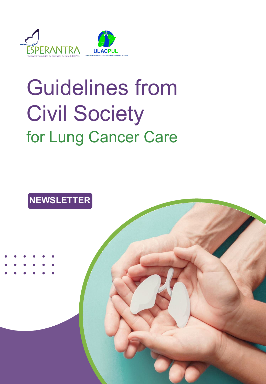

# Guidelines from Civil Society for Lung Cancer Care

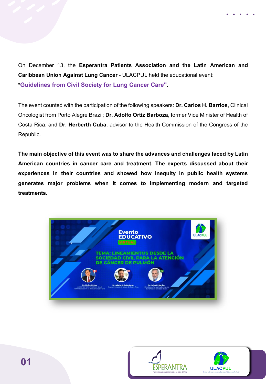On December 13, the **Esperantra Patients Association and the Latin American and Caribbean Union Against Lung Cancer** - ULACPUL held the educational event: "**Guidelines from Civil Society for Lung Cancer Care"**.

The event counted with the participation of the following speakers: **Dr. Carlos H. Barrios**, Clinical Oncologist from Porto Alegre Brazil; **Dr. Adolfo Ortiz Barboza**, former Vice Minister of Health of Costa Rica; and **Dr. Herberth Cuba**, advisor to the Health Commission of the Congress of the Republic.

**The main objective of this event was to share the advances and challenges faced by Latin American countries in cancer care and treatment. The experts discussed about their experiences in their countries and showed how inequity in public health systems generates major problems when it comes to implementing modern and targeted treatments.**



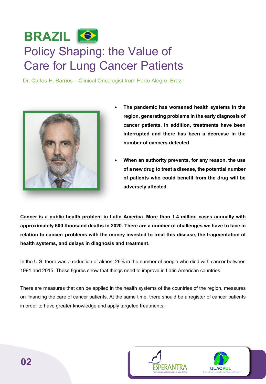### **BRAZIL** Policy Shaping: the Value of Care for Lung Cancer Patients

Dr. Carlos H. Barrios – Clinical Oncologist from Porto Alegre, Brazil



- **The pandemic has worsened health systems in the region, generating problems in the early diagnosis of cancer patients. In addition, treatments have been interrupted and there has been a decrease in the number of cancers detected.**
- **When an authority prevents, for any reason, the use of a new drug to treat a disease, the potential number of patients who could benefit from the drug will be adversely affected.**

**Cancer is a public health problem in Latin America. More than 1.4 million cases annually with approximately 600 thousand deaths in 2020. There are a number of challenges we have to face in relation to cancer: problems with the money invested to treat this disease, the fragmentation of health systems, and delays in diagnosis and treatment.**

In the U.S. there was a reduction of almost 26% in the number of people who died with cancer between 1991 and 2015. These figures show that things need to improve in Latin American countries.

There are measures that can be applied in the health systems of the countries of the region, measures on financing the care of cancer patients. At the same time, there should be a register of cancer patients in order to have greater knowledge and apply targeted treatments.



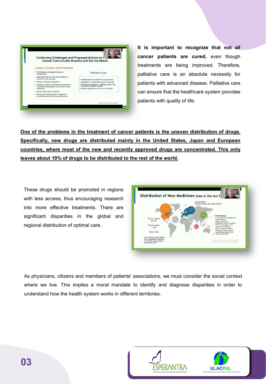

**It is important to recognize that not all cancer patients are cured,** even though treatments are being improved. Therefore, palliative care is an absolute necessity for patients with advanced disease. Palliative care can ensure that the healthcare system provides patients with quality of life.

**One of the problems in the treatment of cancer patients is the uneven distribution of drugs. Specifically, new drugs are distributed mainly in the United States, Japan and European countries, where most of the new and recently approved drugs are concentrated. This only leaves about 10% of drugs to be distributed to the rest of the world.**

These drugs should be promoted in regions with less access, thus encouraging research into more effective treatments. There are significant disparities in the global and regional distribution of optimal care.



As physicians, citizens and members of patients' associations, we must consider the social context where we live. This implies a moral mandate to identify and diagnose disparities in order to understand how the health system works in different territories.

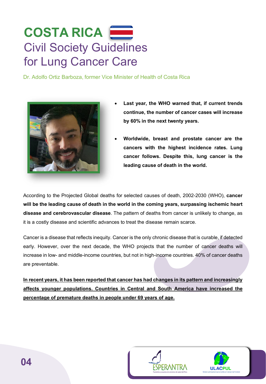#### **COSTA RICA** Civil Society Guidelines for Lung Cancer Care

Dr. Adolfo Ortiz Barboza, former Vice Minister of Health of Costa Rica



- **Last year, the WHO warned that, if current trends continue, the number of cancer cases will increase by 60% in the next twenty years.**
- **Worldwide, breast and prostate cancer are the cancers with the highest incidence rates. Lung cancer follows. Despite this, lung cancer is the leading cause of death in the world.**

According to the Projected Global deaths for selected causes of death, 2002-2030 (WHO), **cancer will be the leading cause of death in the world in the coming years, surpassing ischemic heart disease and cerebrovascular disease**. The pattern of deaths from cancer is unlikely to change, as it is a costly disease and scientific advances to treat the disease remain scarce.

Cancer is a disease that reflects inequity. Cancer is the only chronic disease that is curable, if detected early. However, over the next decade, the WHO projects that the number of cancer deaths will increase in low- and middle-income countries, but not in high-income countries. 40% of cancer deaths are preventable.

**In recent years, it has been reported that cancer has had changes in its pattern and increasingly affects younger populations. Countries in Central and South America have increased the percentage of premature deaths in people under 69 years of age.**

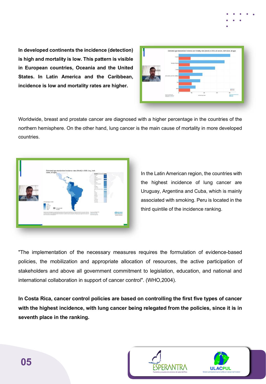**In developed continents the incidence (detection) is high and mortality is low. This pattern is visible in European countries, Oceania and the United States. In Latin America and the Caribbean, incidence is low and mortality rates are higher.**

| Adolfo Orta: | <b>Octavia</b>                                                                              |      |                       |            |                                                    |
|--------------|---------------------------------------------------------------------------------------------|------|-----------------------|------------|----------------------------------------------------|
|              | Northern America                                                                            |      |                       |            |                                                    |
|              | <b>Europe</b>                                                                               |      |                       |            |                                                    |
|              | Little America and the Caribbean                                                            |      |                       |            |                                                    |
|              | <b>Asia</b>                                                                                 |      |                       |            |                                                    |
|              | Africa <sup>1</sup>                                                                         |      |                       |            | $\frac{1}{2}$ today                                |
|              | Texas and management affects.<br>Daily production States Count.<br>Showcaster Countries Co. | Vit. | 200<br>Altholtes firm | <b>xis</b> | 400<br>termine typical departments<br><b>White</b> |

Worldwide, breast and prostate cancer are diagnosed with a higher percentage in the countries of the northern hemisphere. On the other hand, lung cancer is the main cause of mortality in more developed countries.



In the Latin American region, the countries with the highest incidence of lung cancer are Uruguay, Argentina and Cuba, which is mainly associated with smoking. Peru is located in the third quintile of the incidence ranking.

"The implementation of the necessary measures requires the formulation of evidence-based policies, the mobilization and appropriate allocation of resources, the active participation of stakeholders and above all government commitment to legislation, education, and national and international collaboration in support of cancer control". (WHO,2004).

**In Costa Rica, cancer control policies are based on controlling the first five types of cancer with the highest incidence, with lung cancer being relegated from the policies, since it is in seventh place in the ranking.**

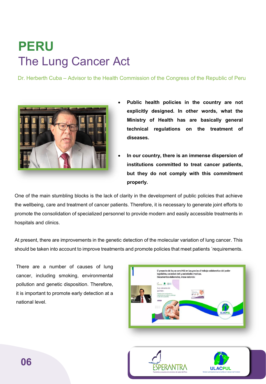## **PERU** The Lung Cancer Act

Dr. Herberth Cuba – Advisor to the Health Commission of the Congress of the Republic of Peru



- **Public health policies in the country are not explicitly designed. In other words, what the Ministry of Health has are basically general technical regulations on the treatment of diseases.**
- **In our country, there is an immense dispersion of institutions committed to treat cancer patients, but they do not comply with this commitment properly.**

One of the main stumbling blocks is the lack of clarity in the development of public policies that achieve the wellbeing, care and treatment of cancer patients. Therefore, it is necessary to generate joint efforts to promote the consolidation of specialized personnel to provide modern and easily accessible treatments in hospitals and clinics.

At present, there are improvements in the genetic detection of the molecular variation of lung cancer. This should be taken into account to improve treatments and promote policies that meet patients ´requirements.

There are a number of causes of lung cancer, including smoking, environmental pollution and genetic disposition. Therefore, it is important to promote early detection at a national level.



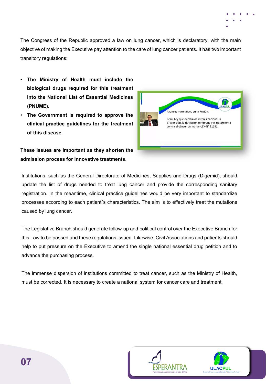The Congress of the Republic approved a law on lung cancer, which is declaratory, with the main objective of making the Executive pay attention to the care of lung cancer patients. It has two important transitory regulations:

- **The Ministry of Health must include the biological drugs required for this treatment into the National List of Essential Medicines (PNUME).**
- **The Government is required to approve the clinical practice guidelines for the treatment of this disease.**

#### **These issues are important as they shorten the admission process for innovative treatments.**



Institutions. such as the General Directorate of Medicines, Supplies and Drugs (Digemid), should update the list of drugs needed to treat lung cancer and provide the corresponding sanitary registration. In the meantime, clinical practice guidelines would be very important to standardize processes according to each patient´s characteristics. The aim is to effectively treat the mutations caused by lung cancer.

The Legislative Branch should generate follow-up and political control over the Executive Branch for this Law to be passed and these regulations issued. Likewise, Civil Associations and patients should help to put pressure on the Executive to amend the single national essential drug petition and to advance the purchasing process.

The immense dispersion of institutions committed to treat cancer, such as the Ministry of Health, must be corrected. It is necessary to create a national system for cancer care and treatment.